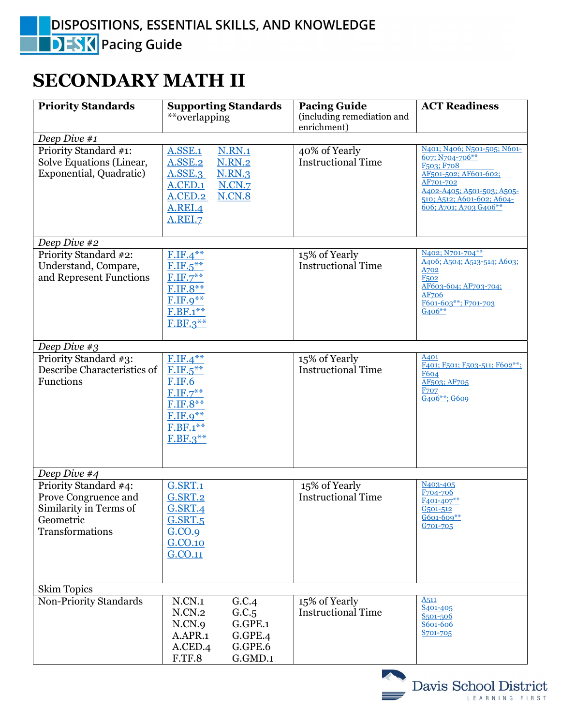## SECONDARY MATH II

| <b>Priority Standards</b>                                                                               | <b>Supporting Standards</b><br>**overlapping                                                                                                                                        | <b>Pacing Guide</b><br>(including remediation and<br>enrichment) | <b>ACT Readiness</b>                                                                                                                                                                                              |
|---------------------------------------------------------------------------------------------------------|-------------------------------------------------------------------------------------------------------------------------------------------------------------------------------------|------------------------------------------------------------------|-------------------------------------------------------------------------------------------------------------------------------------------------------------------------------------------------------------------|
| Deep Dive #1                                                                                            |                                                                                                                                                                                     |                                                                  |                                                                                                                                                                                                                   |
| Priority Standard #1:<br>Solve Equations (Linear,<br>Exponential, Quadratic)                            | <b>N.RN.1</b><br><b>A.SSE.1</b><br>A.SSE.2<br><b>N.RN.2</b><br><b>A.SSE.3</b><br><b>N.RN.3</b><br><b>N.CN.7</b><br><b>A.CED.1</b><br><b>N.CN.8</b><br>A.CED.2<br>A.REI.4<br>A.REI.7 | 40% of Yearly<br><b>Instructional Time</b>                       | N401; N406; N501-505; N601-<br>607; N704-706**<br>F <sub>503</sub> : F <sub>708</sub><br>AF501-502; AF601-602;<br>AF701-702<br>A402-A405; A501-503; A505-<br>510; A512; A601-602; A604-<br>606; A701; A703 G406** |
| Deep Dive #2                                                                                            |                                                                                                                                                                                     |                                                                  |                                                                                                                                                                                                                   |
| Priority Standard #2:<br>Understand, Compare,<br>and Represent Functions                                | $F.IF.4***$<br>$F.IF.5***$<br>$F.IF.7**$<br>F.IF.8**<br>$F.IF.9**$<br>F.BF.1**<br>$F.BF.3***$                                                                                       | 15% of Yearly<br><b>Instructional Time</b>                       | N <sub>402</sub> ; N <sub>701-704</sub> **<br>A406; A504; A513-514; A603;<br>A702<br>F <sub>502</sub><br>AF603-604; AF703-704;<br>AF706<br>F601-603**; F701-703<br>G406**                                         |
| Deep Dive #3                                                                                            |                                                                                                                                                                                     |                                                                  |                                                                                                                                                                                                                   |
| Priority Standard #3:<br>Describe Characteristics of<br>Functions                                       | $F.IF.4***$<br>$F.IF.5***$<br><b>F.IF.6</b><br>$F.IF.7***$<br>$F.IF.8**$<br>$F.IF.9***$<br>F.BF.1**<br>$F.BF.3***$                                                                  | 15% of Yearly<br><b>Instructional Time</b>                       | A401<br>F401; F501; F503-511; F602**;<br><b>F604</b><br>AF503; AF705<br><b>F707</b><br>G406**; G609                                                                                                               |
| Deep Dive $#4$                                                                                          |                                                                                                                                                                                     |                                                                  |                                                                                                                                                                                                                   |
| Priority Standard #4:<br>Prove Congruence and<br>Similarity in Terms of<br>Geometric<br>Transformations | <b>G.SRT.1</b><br><b>G.SRT.2</b><br><b>G.SRT.4</b><br><b>G.SRT.5</b><br>G.CO.9<br>G.CO.10<br>G.CO.11                                                                                | 15% of Yearly<br><b>Instructional Time</b>                       | <u>N403-405</u><br>F704-706<br>$F401 - 407**$<br><u>G501-512</u><br>G601-609**<br>G701-705                                                                                                                        |
| <b>Skim Topics</b>                                                                                      |                                                                                                                                                                                     |                                                                  |                                                                                                                                                                                                                   |
| <b>Non-Priority Standards</b>                                                                           | N.CN.1<br>G.C.4<br>N.CN.2<br>G.C.5<br>N.CN.9<br>G.GPE.1<br>A.APR.1<br>G.GPE.4<br>A.CED.4<br>G.GPE.6<br>G.GMD.1<br>F.TF.8                                                            | 15% of Yearly<br><b>Instructional Time</b>                       | A511<br>S <sub>401</sub> -405<br>S <sub>501</sub> -506<br>S601-606<br>S701-705                                                                                                                                    |